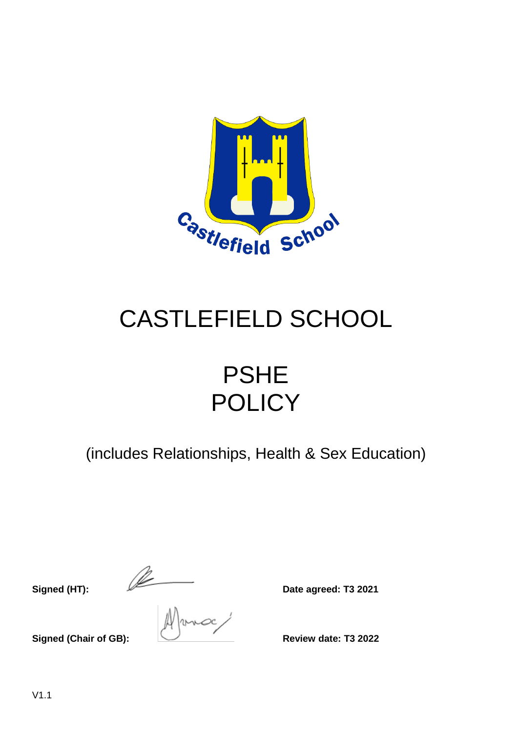

# CASTLEFIELD SCHOOL

# PSHE **POLICY**

(includes Relationships, Health & Sex Education)

**Signed (HT):** 2021

**Signed (Chair of GB): Review date: T3 2022**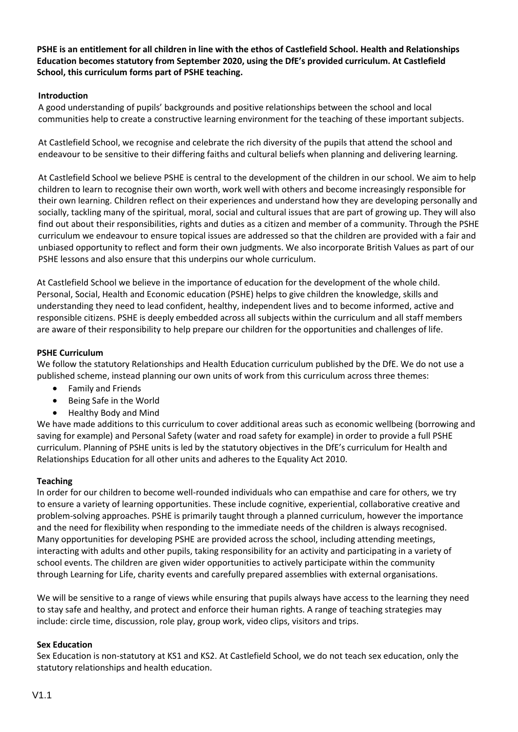**PSHE is an entitlement for all children in line with the ethos of Castlefield School. Health and Relationships Education becomes statutory from September 2020, using the DfE's provided curriculum. At Castlefield School, this curriculum forms part of PSHE teaching.**

# **Introduction**

A good understanding of pupils' backgrounds and positive relationships between the school and local communities help to create a constructive learning environment for the teaching of these important subjects.

At Castlefield School, we recognise and celebrate the rich diversity of the pupils that attend the school and endeavour to be sensitive to their differing faiths and cultural beliefs when planning and delivering learning.

At Castlefield School we believe PSHE is central to the development of the children in our school. We aim to help children to learn to recognise their own worth, work well with others and become increasingly responsible for their own learning. Children reflect on their experiences and understand how they are developing personally and socially, tackling many of the spiritual, moral, social and cultural issues that are part of growing up. They will also find out about their responsibilities, rights and duties as a citizen and member of a community. Through the PSHE curriculum we endeavour to ensure topical issues are addressed so that the children are provided with a fair and unbiased opportunity to reflect and form their own judgments. We also incorporate British Values as part of our PSHE lessons and also ensure that this underpins our whole curriculum.

At Castlefield School we believe in the importance of education for the development of the whole child. Personal, Social, Health and Economic education (PSHE) helps to give children the knowledge, skills and understanding they need to lead confident, healthy, independent lives and to become informed, active and responsible citizens. PSHE is deeply embedded across all subjects within the curriculum and all staff members are aware of their responsibility to help prepare our children for the opportunities and challenges of life.

# **PSHE Curriculum**

We follow the statutory Relationships and Health Education curriculum published by the DfE. We do not use a published scheme, instead planning our own units of work from this curriculum across three themes:

- Family and Friends
- Being Safe in the World
- Healthy Body and Mind

We have made additions to this curriculum to cover additional areas such as economic wellbeing (borrowing and saving for example) and Personal Safety (water and road safety for example) in order to provide a full PSHE curriculum. Planning of PSHE units is led by the statutory objectives in the DfE's curriculum for Health and Relationships Education for all other units and adheres to the Equality Act 2010.

# **Teaching**

In order for our children to become well-rounded individuals who can empathise and care for others, we try to ensure a variety of learning opportunities. These include cognitive, experiential, collaborative creative and problem-solving approaches. PSHE is primarily taught through a planned curriculum, however the importance and the need for flexibility when responding to the immediate needs of the children is always recognised. Many opportunities for developing PSHE are provided across the school, including attending meetings, interacting with adults and other pupils, taking responsibility for an activity and participating in a variety of school events. The children are given wider opportunities to actively participate within the community through Learning for Life, charity events and carefully prepared assemblies with external organisations.

We will be sensitive to a range of views while ensuring that pupils always have access to the learning they need to stay safe and healthy, and protect and enforce their human rights. A range of teaching strategies may include: circle time, discussion, role play, group work, video clips, visitors and trips.

#### **Sex Education**

Sex Education is non-statutory at KS1 and KS2. At Castlefield School, we do not teach sex education, only the statutory relationships and health education.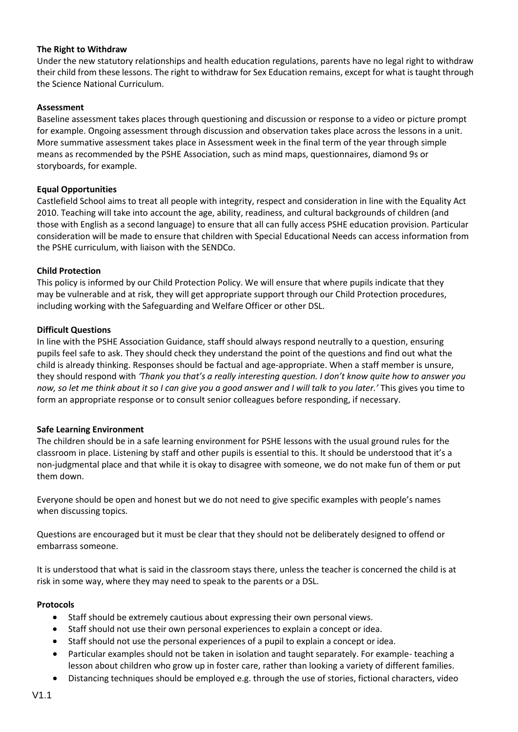# **The Right to Withdraw**

Under the new statutory relationships and health education regulations, parents have no legal right to withdraw their child from these lessons. The right to withdraw for Sex Education remains, except for what is taught through the Science National Curriculum.

# **Assessment**

Baseline assessment takes places through questioning and discussion or response to a video or picture prompt for example. Ongoing assessment through discussion and observation takes place across the lessons in a unit. More summative assessment takes place in Assessment week in the final term of the year through simple means as recommended by the PSHE Association, such as mind maps, questionnaires, diamond 9s or storyboards, for example.

# **Equal Opportunities**

Castlefield School aims to treat all people with integrity, respect and consideration in line with the Equality Act 2010. Teaching will take into account the age, ability, readiness, and cultural backgrounds of children (and those with English as a second language) to ensure that all can fully access PSHE education provision. Particular consideration will be made to ensure that children with Special Educational Needs can access information from the PSHE curriculum, with liaison with the SENDCo.

# **Child Protection**

This policy is informed by our Child Protection Policy. We will ensure that where pupils indicate that they may be vulnerable and at risk, they will get appropriate support through our Child Protection procedures, including working with the Safeguarding and Welfare Officer or other DSL.

# **Difficult Questions**

In line with the PSHE Association Guidance, staff should always respond neutrally to a question, ensuring pupils feel safe to ask. They should check they understand the point of the questions and find out what the child is already thinking. Responses should be factual and age-appropriate. When a staff member is unsure, they should respond with *'Thank you that's a really interesting question. I don't know quite how to answer you now, so let me think about it so I can give you a good answer and I will talk to you later.'* This gives you time to form an appropriate response or to consult senior colleagues before responding, if necessary.

#### **Safe Learning Environment**

The children should be in a safe learning environment for PSHE lessons with the usual ground rules for the classroom in place. Listening by staff and other pupils is essential to this. It should be understood that it's a non-judgmental place and that while it is okay to disagree with someone, we do not make fun of them or put them down.

Everyone should be open and honest but we do not need to give specific examples with people's names when discussing topics.

Questions are encouraged but it must be clear that they should not be deliberately designed to offend or embarrass someone.

It is understood that what is said in the classroom stays there, unless the teacher is concerned the child is at risk in some way, where they may need to speak to the parents or a DSL.

#### **Protocols**

- Staff should be extremely cautious about expressing their own personal views.
- Staff should not use their own personal experiences to explain a concept or idea.
- Staff should not use the personal experiences of a pupil to explain a concept or idea.
- Particular examples should not be taken in isolation and taught separately. For example- teaching a lesson about children who grow up in foster care, rather than looking a variety of different families.
- Distancing techniques should be employed e.g. through the use of stories, fictional characters, video